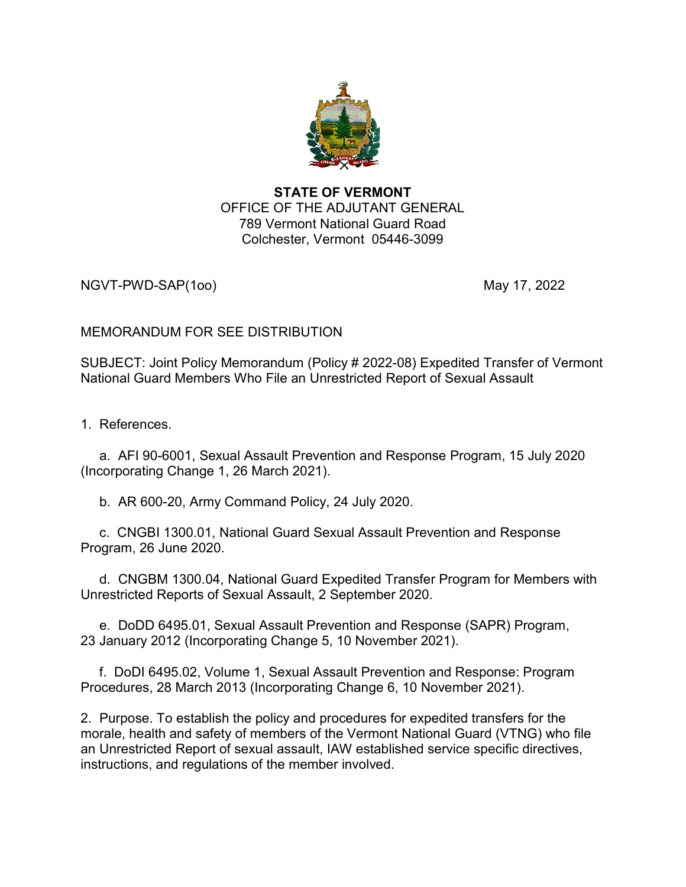

## STATE OF VERMONT OFFICE OF THE ADJUTANT GENERAL 789 Vermont National Guard Road Colchester, Vermont 05446-3099

NGVT-PWD-SAP(1oo) and the control of the control of the May 17, 2022

# MEMORANDUM FOR SEE DISTRIBUTION

SUBJECT: Joint Policy Memorandum (Policy # 2022-08) Expedited Transfer of Vermont National Guard Members Who File an Unrestricted Report of Sexual Assault

1. References.

 a. AFI 90-6001, Sexual Assault Prevention and Response Program, 15 July 2020 (Incorporating Change 1, 26 March 2021).

b. AR 600-20, Army Command Policy, 24 July 2020.

 c. CNGBI 1300.01, National Guard Sexual Assault Prevention and Response Program, 26 June 2020.

 d. CNGBM 1300.04, National Guard Expedited Transfer Program for Members with Unrestricted Reports of Sexual Assault, 2 September 2020.

 e. DoDD 6495.01, Sexual Assault Prevention and Response (SAPR) Program, 23 January 2012 (Incorporating Change 5, 10 November 2021).

 f. DoDI 6495.02, Volume 1, Sexual Assault Prevention and Response: Program Procedures, 28 March 2013 (Incorporating Change 6, 10 November 2021).

2. Purpose. To establish the policy and procedures for expedited transfers for the morale, health and safety of members of the Vermont National Guard (VTNG) who file an Unrestricted Report of sexual assault, IAW established service specific directives, instructions, and regulations of the member involved.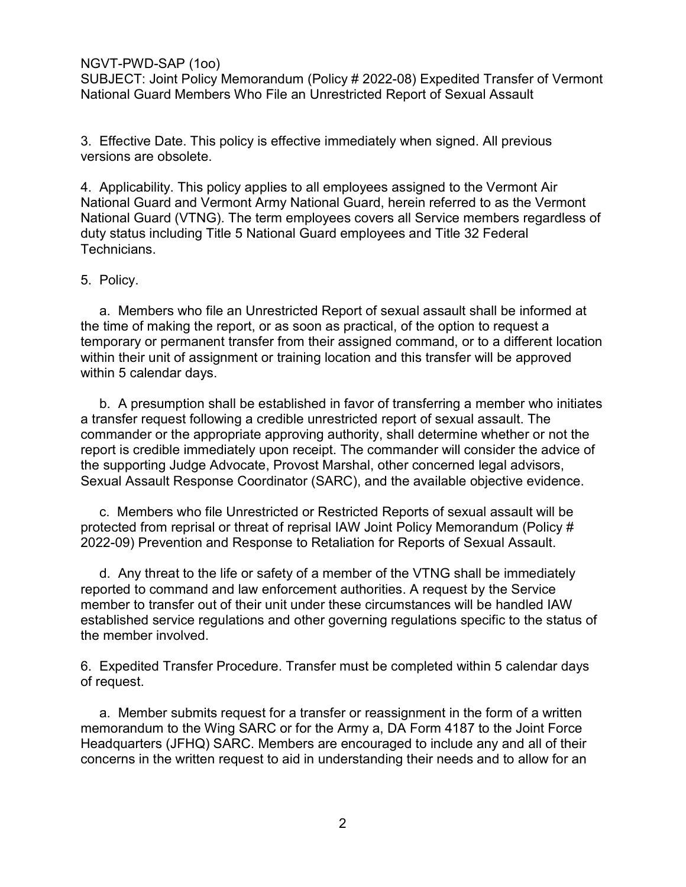## NGVT-PWD-SAP (1oo)

SUBJECT: Joint Policy Memorandum (Policy # 2022-08) Expedited Transfer of Vermont National Guard Members Who File an Unrestricted Report of Sexual Assault

3. Effective Date. This policy is effective immediately when signed. All previous versions are obsolete.

4. Applicability. This policy applies to all employees assigned to the Vermont Air National Guard and Vermont Army National Guard, herein referred to as the Vermont National Guard (VTNG). The term employees covers all Service members regardless of duty status including Title 5 National Guard employees and Title 32 Federal Technicians.

### 5. Policy.

 a. Members who file an Unrestricted Report of sexual assault shall be informed at the time of making the report, or as soon as practical, of the option to request a temporary or permanent transfer from their assigned command, or to a different location within their unit of assignment or training location and this transfer will be approved within 5 calendar days.

 b. A presumption shall be established in favor of transferring a member who initiates a transfer request following a credible unrestricted report of sexual assault. The commander or the appropriate approving authority, shall determine whether or not the report is credible immediately upon receipt. The commander will consider the advice of the supporting Judge Advocate, Provost Marshal, other concerned legal advisors, Sexual Assault Response Coordinator (SARC), and the available objective evidence.

 c. Members who file Unrestricted or Restricted Reports of sexual assault will be protected from reprisal or threat of reprisal IAW Joint Policy Memorandum (Policy # 2022-09) Prevention and Response to Retaliation for Reports of Sexual Assault.

 d. Any threat to the life or safety of a member of the VTNG shall be immediately reported to command and law enforcement authorities. A request by the Service member to transfer out of their unit under these circumstances will be handled IAW established service regulations and other governing regulations specific to the status of the member involved.

6. Expedited Transfer Procedure. Transfer must be completed within 5 calendar days of request.

 a. Member submits request for a transfer or reassignment in the form of a written memorandum to the Wing SARC or for the Army a, DA Form 4187 to the Joint Force Headquarters (JFHQ) SARC. Members are encouraged to include any and all of their concerns in the written request to aid in understanding their needs and to allow for an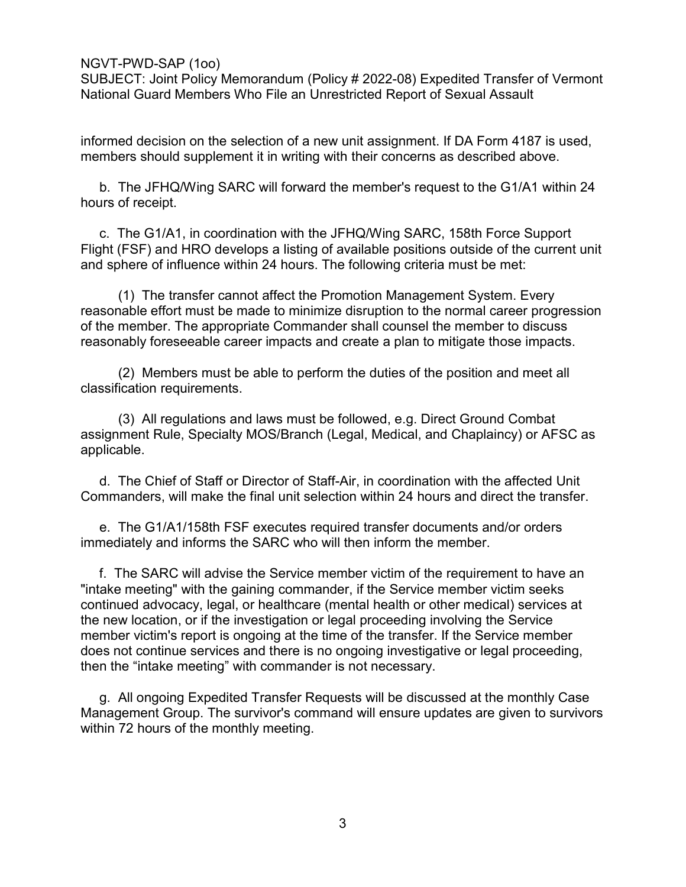### NGVT-PWD-SAP (1oo)

SUBJECT: Joint Policy Memorandum (Policy # 2022-08) Expedited Transfer of Vermont National Guard Members Who File an Unrestricted Report of Sexual Assault

informed decision on the selection of a new unit assignment. If DA Form 4187 is used, members should supplement it in writing with their concerns as described above.

 b. The JFHQ/Wing SARC will forward the member's request to the G1/A1 within 24 hours of receipt.

 c. The G1/A1, in coordination with the JFHQ/Wing SARC, 158th Force Support Flight (FSF) and HRO develops a listing of available positions outside of the current unit and sphere of influence within 24 hours. The following criteria must be met:

 (1) The transfer cannot affect the Promotion Management System. Every reasonable effort must be made to minimize disruption to the normal career progression of the member. The appropriate Commander shall counsel the member to discuss reasonably foreseeable career impacts and create a plan to mitigate those impacts.

 (2) Members must be able to perform the duties of the position and meet all classification requirements.

 (3) All regulations and laws must be followed, e.g. Direct Ground Combat assignment Rule, Specialty MOS/Branch (Legal, Medical, and Chaplaincy) or AFSC as applicable.

 d. The Chief of Staff or Director of Staff-Air, in coordination with the affected Unit Commanders, will make the final unit selection within 24 hours and direct the transfer.

 e. The G1/A1/158th FSF executes required transfer documents and/or orders immediately and informs the SARC who will then inform the member.

 f. The SARC will advise the Service member victim of the requirement to have an "intake meeting" with the gaining commander, if the Service member victim seeks continued advocacy, legal, or healthcare (mental health or other medical) services at the new location, or if the investigation or legal proceeding involving the Service member victim's report is ongoing at the time of the transfer. If the Service member does not continue services and there is no ongoing investigative or legal proceeding, then the "intake meeting" with commander is not necessary.

 g. All ongoing Expedited Transfer Requests will be discussed at the monthly Case Management Group. The survivor's command will ensure updates are given to survivors within 72 hours of the monthly meeting.